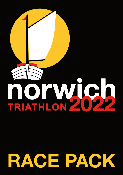# TRIATHLON 202

# **RACE PACK**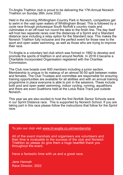Tri-Anglia Triathlon club is proud to be delivering the 17th Annual Norwich Triathlon on Sunday 26th June 2022.

Held in the stunning Whitlingham Country Park in Norwich, competitors get to swim in the vast open waters of Whitlingham Broad. This is followed by a cycle race through picturesque South Norfolk's country roads and culminates in an off-road run round the lake to the finish line. The day itself will host two separate races over the distances of a Sprint and a Standard distance race including a relay option for the Standard race. This makes the Norwich Triathlon fully inclusive and the perfect event for those new to the sport and open water swimming, as well as those who are trying to improve their race.

Tri-Anglia is a voluntary led club which was formed in 1992 to develop and promote the sports of triathlon in and around Norfolk. In 2018 it became a Charitable Incorporated Organisation registered with the Charities **Commission** 

The Club now boasts over 600 members including a junior section. Membership is unique in its makeup of an almost 50:50 split between males and females. The Club Trustees and committee are responsible for ensuring training opportunities are available for all abilities and with an annual training programme in place everyone is able to join in the sessions. These include both pool and open water swimming, indoor cycling, running, aquathlons and there are even Duathlons held at the Lotus Race Track just outside Norwich.

This year we are also excited to host the first Norfolk Senior Schools wave in our Sprint Distance race. This is supported by Norwich School. If you are taking part in this race please follow the instructions that follow for the Sprint race.

To join our club visit *[www.tri-anglia.co.uk/membership](https://www.tri-anglia.co.uk/membership)*

All of the event marshals and organisers are volunteers and their time is invaluable to the success of the club and Norwich Triathlon so please do give them a huge heartfelt thank you throughout the event.

Have a fantastic time with us and a great race.

Jane Hannah Race Director, 2022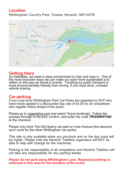### **Location** Whitlingham Country Park, Trowse, Norwich, NR14 8TR



### **Getting there**

As triathletes, we need a clean environment to train and race in. One of the most important ways we can make our sport more sustainable is to reflect on the way we travel to events. Traveling by public transport is more environmentally friendly than driving. If you must drive, consider vehicle sharing.

### **Car parking**

If you must drive Whitlingham Park Car Parks are operated by RCP who have kindly agreed to a discounted day rate of £4.50 for all competitors who register online ahead of the event.

Please go to *[rcpparking.com](https://www.rcpparking.com)* and select "future bookings". Follow the process through to the end, confirm, and enter the code **TRI22WHIT450** at the checkout.

Please only book The Old Quarry car park or Lime Avenue (the discount won't work for the other Whitlingham car parks).

This rate is only available when you pre-book and on the day costs will be higher. Please note the Norwich Triathlon organisers will NOT be able to help with change for the machines.

Parking is the responsibility of all competitors and Norwich Triathlon will not take any responsibility for any parking tickets.

**Please do not park along Whitlingham Lane. Restricted parking is enforced in this area for the duration of the event**.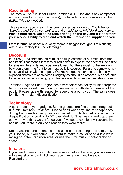### **Race briefing**

The race will be run under British Triathlon (BT) rules and if any competitor wishes to read any particular rule(s), the full rule book is available on the *[British Triathlon website](https://www.britishtriathlon.org/competitionrules)*.

This year our race briefing has been posted as a video on YouTube for *Standard [and Sprint competitors](https://youtu.be/Yyl_7wz5_48)*, and an *[additional brief for Relay](https://youtu.be/YslBcacK8fY) teams*. **Please note there will be no race briefing on the day and it is therefore your responsibility to read and watch the information supplied to you.**

Extra information specific to Relay teams is flagged throughout this briefing with a blue rectangle in the left margin.

### **Decorum**

BT rules (22.5) state that attire must be fully fastened at all times, both front and back. That means that zips pulled down to expose the chest will be asked to refasten. Tri shorts and tops are allowed, but there must not be any gap between them - the front torso must be fully covered. Failure to comply is now a disqualification with no appeal. We know it gets hot on the run, but fully exposed chests are considered unsightly so should be covered. Men are able to be bare chested if changing in Transition whilst observing suitable modesty.

Triathlon England East Region has a zero tolerance policy for inappropriate behaviour exhibited towards any volunteer, other athlete or member of the public. Please race with respect for everyone around you. The same goes for littering - instant disqualification.

### **Technology**

A quick note on your gadgets. Sports gadgets are fine to use throughout (Garmin, TomTom, Polar etc). Please don't wear any kind of headphones during the Transition setup, race or Transition collection. All are liable to a disqualification according to BT rules.And don't be sneaky and pop them out when you think we can't see you. If we see a couple of wires dangling behind you, there is only one reason they were there!

Smart watches and 'phones can be used as a recording device to track your speed, but you cannot use them to make a call or send a text while racing or in the Transition area, or use them for music, photography or video<sup>T</sup>

### **Inhalers**

If you need to use your inhaler immediately before the race, you can leave it with a marshal who will stick your race number on it and take it to Registration.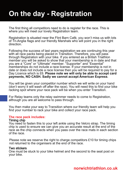# **On the day - Registration**

The first thing all competitors need to do is register for the race. This is where you will meet our lovely Registration team.

Registration is situated near the Flint Barn Café, you won't miss us with lots of Tri-Anglia flags and our friendly Marshals who will point you in the right direction.

Following the success of last years registration we are continuing this year with all race packs being placed in Transition. Therefore, you will pass through Registration with your bike. If you entered as a British Triathlon member you will be asked to show that your membership is in date and that you are a "Core" or "Ultimate" member. "Supporter" and "Essential" memberships do not include a race license. If your membership is not in date or does not include a race license then you will be required to pay for a Day Licence which is £6. **Please note we will only be able to accept card payments, NO CASH. Sadly we cannot accept American Express**.

You will be given your competitor number which we will write on your hand (don't worry it will wash off after the race). You will need this to find your bike racking spot where your race pack will be when you enter Transition.

For Relay teams only the relay swimmer needs to come to Registration, although you are all welcome to pass through.

You then make your way to Transition where our friendly team will help you find your number to rack your bike and collect your race pack.

### **The race pack includes:**

### Timing chip

You need to fasten this to your left ankle using the Velcro strap. The timing chip is used to ensure we can give you an accurate result at the end of the race as the chip connects when you pass over the race mats in each section of the race.

Please note we reserve the right to charge competitors  $£10$  for timing chips not returned to the organisers at the end of the race.

### Two stickers

One must be stuck to your bike helmet and the second to the seat post on your bike.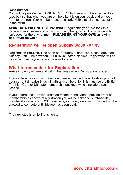### Race number

You will be provided with ONE NUMBER which needs to be attached to a race belt so that when you are on the bike it is on your back and on your front for the run. Your number must be clearly visible at all times except for in the swim.

**SWIM HATS WILL NOT BE PROVIDED** again this year. We took this decision because we end up with so many being left in Transition which isn't good for the environment. **PLEASE BRING YOUR OWN as swim hats must be worn.**

### **Registration will be open Sunday 06:00 - 07:45**

Registration **WILL NOT** be open on Saturday. Therefore, please arrive on Sunday 26th June between 06:00-07:45. After this time Registration will be closed and sadly you will not be able to race.

### **What to remember for Registration**

Arrive in plenty of time and within the times when Registration is open.

If you entered as a British Triathlon member you will need to show proof of your current (in date) British Triathlon membership. This must be the British Triathlon Core or Ultimate membership package which include a race licence.

If you entered as a British Triathlon Member and cannot provide proof of membership as above at registration you will be asked to purchase day membership at a cost of £6 (payable by card only - no cash). You will not be allowed to compete until this fee has been paid.

The next step is on to Transition…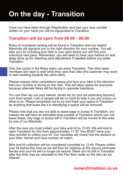# **On the day - Transition**

Once you have been through Registration and had your race number written on your hand you will be signposted to Transition.

### **Transition will be open from 06:00 - 08:00**

Rows of numbered racking will be found in Transition and our helpful Marshals will signpost you in the right direction for your number. You will take your kit including your bike to your spot where you will find your individual race pack. Remember, you will need to have your helmet on and strap done up for checking (and adjustment if needed) before you enter **Transition** 

Only the cyclist in the Relay team can enter Transition. The other team members will need to wait while they rack their bike (the swimmer may want to start heading towards the swim start).

Please respect other competitors space and face your bike in the direction that your number is facing on the rack. This will allow space for everyone because alternate bikes will be facing in opposite directions.

You can then lay out your helmet, shoes etc by (but not extending beyond) your front wheel. Lots of people will be on hand to help if you are unsure on what to do. Please remember not to try and mark your space in Transition as anything that looks like it is identifying a space will be removed.

Please note that you are not able to leave bags or boxes in Transition, but instead we will have an allocated area outside of Transition where you can leave these. Any bags or boxes left in Transition will be moved to this area by one of our Marshals.

After the race you must collect your bike and kit by 12:45. We will look to open Transition for this from approximately 11:30. You MUST have your race number to collect your kit. Our marshals will check that the stickers on your bike, helmet and race number all match.

Bike and kit collection will be considered complete by 12:45. Please collect your kit before this time as we will then be clearing up the secure perimeter fences and your kit will no longer be secure. Bikes and kit still in Transition after this time may be relocated to the Flint Barn walls so the site can be cleared.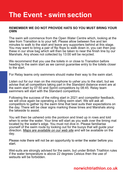# **The Event - swim section**

### **REMEMBER WE DO NOT PROVIDE HATS SO YOU MUST BRING YOUR OWN**

The swim will commence from the Open Water Centre which, looking at the lake from Transition is to your left. Please allow between five and ten minutes to walk to the start and leave any supporters behind at this stage. You may want to bring a pair of flip flops to walk down in, you can then pop these in our shoe bag which will then be taken to near the finish line by our Marshals. Any shoes not collected by 13:00 will be recycled.

We recommend that you use the toilets in or close to Transition before heading to the swim start as we cannot quarantee entry to the toilets closer to the start.

For Relay teams only swimmers should make their way to the swim start.

Listen out for our man on the microphone to usher you to the start, but we advise that all competitors taking part in the Standard distance event are at the swim start by 07:50 and Sprint competitors by 08:45. Relay team swimmers will start with the Standard competitors.

Following the success of the rolling start in 2021 and competitor feedback, we will once again be operating a rolling swim start. We will ask all competitors to gather by the swim time that best suits their expectations on the day. There will be clear signs marking these times and Marshals along the lakeside to assist.

You will then be ushered onto the pontoon and lined up in rows and told when to enter the water. Your time will start as you walk over the timing mat located by the water's edge. You must not dive in. Please familiarise yourself of the swim route by looking out for the buoys that will guide your direction. *[Maps are available on our web site](https://www.norwichtriathlon.co.uk/)* and will be available on the day.

Please note there will not be an opportunity to enter the water before you start.

Wet-suits are strongly advised for the swim, but under British Triathlon rules if the water temperature is above 22 degrees Celsius then the use of wetsuits will be forbidden.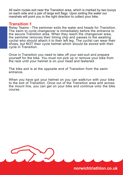All swim routes exit near the Transition area, which is marked by two buoys on each side and a pair of large exit flags. Upon exiting the water our marshals will point you in the right direction to collect your bike.

### **Transition 1**

Relay Teams - The swimmer exits the water and heads for Transition. The swim to cycle changeover is immediately before the entrance to the secure Transition area. When they reach the changeover area, the swimmer removes their timing chip and passes to the awaiting cyclist who should attach it to their left leg. The cyclist can wear their shoes, but NOT their cycle helmet which should be stored with their cycle in Transition.

Once in Transition you need to take off your wet-suit and prepare yourself for the bike. You must not pick up or remove your bike from the rack until your helmet is on your head and fastened.

The bike exit is at the opposite end of Transition from the swim entrance.

When you have got your helmet on you can walk/run with your bike to the exit of Transition. Once out of the Transition area and across the mount line, you can get on your bike and continue onto the bike course.

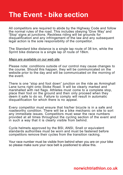## **The Event - bike section**

All competitors are required to abide by the Highway Code and follow the normal rules of the road. This includes obeying 'Give Way' and 'Stop' signs at junctions. Reckless riding will be grounds for disqualification and any infringement of the law and any subsequent legal action is the sole responsibility of the competitor.

The Standard bike distance is a single lap route of 38 km, while the Sprint bike distance is a single lap of route of 18km.

### *[Maps are available on our web site](https://www.norwichtriathlon.co.uk/)*.

Please note: conditions outside of our control may cause changes to the course. Should this happen, they will be communicated on the website prior to the day and will be communicated on the morning of the event.

There is one "stop and foot down" junction on the ride as Arminghall Lane turns right onto Stoke Road. It will be clearly marked and marshalled with red flags. Athletes must come to a complete stop, place their foot on the ground and then only proceed when they deem it safe to do so. Failure to comply will result in automatic disqualification for which there is no appeal.

Every competitor must ensure that his/her bicycle is in a safe and roadworthy condition. There will be a bike mechanic on site to sort any immediate issues. Competitors must wear the race numbers provided at all times throughout the cycling section of the event and in such a way that it is clearly visible from behind.

Cycle helmets approved by the BSI, ANSI, Snell or equivalent standards authorities must be worn and must be fastened before competitors remove their cycles from the transition racking.

Your race number must be visible from behind when you are on your bike so please make sure your race belt is positioned to allow this.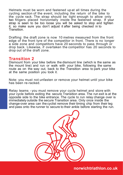Helmets must be worn and fastened up at all times during the cycling section of the event, including the return of the bike to the cycle rack. The strap should be tight enough to allow only two fingers placed horizontally inside the fastened strap. If your strap is seen to be too loose you will be asked to stop and tighten it, so make sure you don't adjust it after being checked in to Transition.

Drafting: the draft zone is now 10 metres measured from the front edge of the front tyre of the competitor in front. There is no longer a side zone and competitors have 20 seconds to pass through or drop back. Likewise, if overtaken the competitor has 20 seconds to drop out of the draft zone.

### **Transition 2**

Dismount from your bike before the dismount line (which is the same as the mount line) and run or walk with your bike, following the same route as on the way out, back to the Transition area to park your bike at the same position you took it.

Note: you must not unfasten or remove your helmet until your bike has been re-racked.

Relay teams - you must remove your cycle helmet and store with your cycle before exiting the secure Transition area. The run exit is at the opposite side to the bike entrance. The cycle to run relay change over is immediately outside the secure Transition area. Only once inside the change-over area can the cyclist remove their timing chip from their leg and pass onto the runner to secure to their ankle before starting the run.

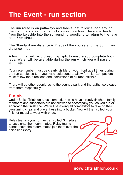# **The Event - run section**

The run route is on pathways and tracks that follow a loop around the main park area in an anticlockwise direction. The run extends from the lakeside into the surrounding woodland to return to the lake as a 5km circuit.

The Standard run distance is 2 laps of the course and the Sprint run distance 1 lap.

A timing mat will record each lap split to ensure you complete both laps. Water will be available during the run which you will pass on each lap.

Your race number must be clearly visible on your front at all times during the run so please turn your race belt round to allow for this. Competitors must follow the directions and instructions of all race officials

There will be other people using the country park and the paths, so please treat them respectfully.

### **Finish**

Under British Triathlon rules, competitors who have already finished, family members and supporters are not allowed to accompany you as you run or approach the finish line. We will be asking all competitors to take off their own timing chips and place these into a bucket. You will then collect your finisher medal to wear with pride.

Relay teams - your runner can collect 3 medals to pass onto their team mates. Relay teams cannot have their team mates join them over the finish line (sorry).

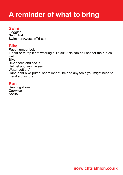# **A reminder of what to bring**

### **Swim**

**Goggles Swim hat** Swimmers/wetsuit/Tri suit

### **Bike**

Race number belt T-shirt or tri-top if not wearing a Tri-suit (this can be used for the run as well) Bike Bike shoes and socks Helmet and sunglasses Water bottle(s) Hand-held bike pump, spare inner tube and any tools you might need to mend a puncture

### **Run**

Running shoes Cap/visor Socks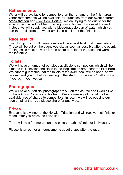### **Refreshments**

Water will be available for competitors on the run and at the finish area. Other refreshments will be available for purchase from our event caterers *[Moco Kitchen](https://mocokitchen.co.uk/)* and *[Blue Bear Coffee](https://bluebearcoffee.com/).* We are trying to do our bit for the environment so will not be providing plastic bottles of water at the end. Instead we will supply you with a biodegradable cup of water which you can then refill from the water available outside of the finish line.

### **Race results**

Use of chip timing will mean results will be available almost immediately. These will be put on the event web site as soon as possible after the event. Timing chips must be worn for the entire duration of the race and worn on the left ankle.

### **Toilets**

We will have a number of portaloos available to competitors which will be situated in Transition and close to the Registration area near the Flint Barn. We cannot guarantee that the toilets at the swim deck will be open, so we recommend you go before heading to the start! …but we won't tell anyone if you go in your wet suit!

### **Photographs**

We will have our official photographers out on the course and I would like to thank Chris Roberts and his team. We are making all official photos available free of charge to competitors. In return we will be popping our logo on all of them, so please share far and wide.

### **Prizes**

Everyone is a winner at the Norwich Triathlon and will receive their finisher medal after you cross the finish line!

There will be a "no more than one prize per athlete" rule for individuals.

Please listen out for announcements about prizes after the race.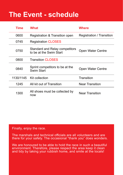# **The Event - schedule**

| Time      | What                                                      | Where                     |
|-----------|-----------------------------------------------------------|---------------------------|
| 0600      | Registration & Transition open                            | Registration / Transition |
| 0745      | <b>Registration CLOSES</b>                                |                           |
| 0750      | Standard and Relay competitors<br>to be at the Swim Start | Open Water Centre         |
| 0800      | <b>Transition CLOSES</b>                                  |                           |
| 0840      | Sprint competitors to be at the<br>Swim Start             | <b>Open Water Centre</b>  |
| 1130/1145 | Kit collection                                            | Transition                |
| 1245      | All kit out of Transition                                 | <b>Near Transition</b>    |
| 1300      | All shoes must be collected by<br>now                     | <b>Near Transition</b>    |

Finally, enjoy the race.

The marshals and technical officials are all volunteers and are there for your safety. The occasional "thank you" does wonders.

We are honoured to be able to hold the race in such a beautiful environment. Therefore, please respect the area keep it clean and tidy by taking your rubbish home, and smile at the locals!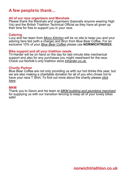### **A few peopleto thank...**

### **All of our race organisers and Marshals**

Please thank the Marshals and organisers (basically anyone wearing High Vis) and the British Triathlon Technical Official as they have all given up their time for free to support you in your race.

### **Catering**

Lucy and her team from *[Moco Kitchen](https://mocokitchen.co.uk/)* will be on site to keep you and your adoring fans fed (with a charge) and Bryn from Blue Bear Coffee. For an exclusive 10% of your *[Blue Bear Coffee](https://bluebearcoffee.com)* please use **NORWICHTRI2022.**

### **Bike support and all your triathlon needs**

Tri-Harder will be on hand on the day for last minute bike mechanical support and also for any purchases you might need/want for the race. Check out Norfolk's only triathlon store *[triharder.co.uk.](https://triharder.co.uk/)*

### **Charity Partner**

Blue Bear Coffee are not only providing us with our hot drinks this year, but we are also making a charitable donation for all of you who chose not to have your race T Shirt. To find out more about the charity please *[click](https://bluebearcoffee.com/donate/) [here](https://bluebearcoffee.com/donate/)*.

### **MKM**

Thank you to Gavin and his team at *MKM [building and plumbing](https://www.mkmbs.co.uk/branch/norwich) merchant* for supplying us with our transition fencing to keep all of your lovely bikes safe!